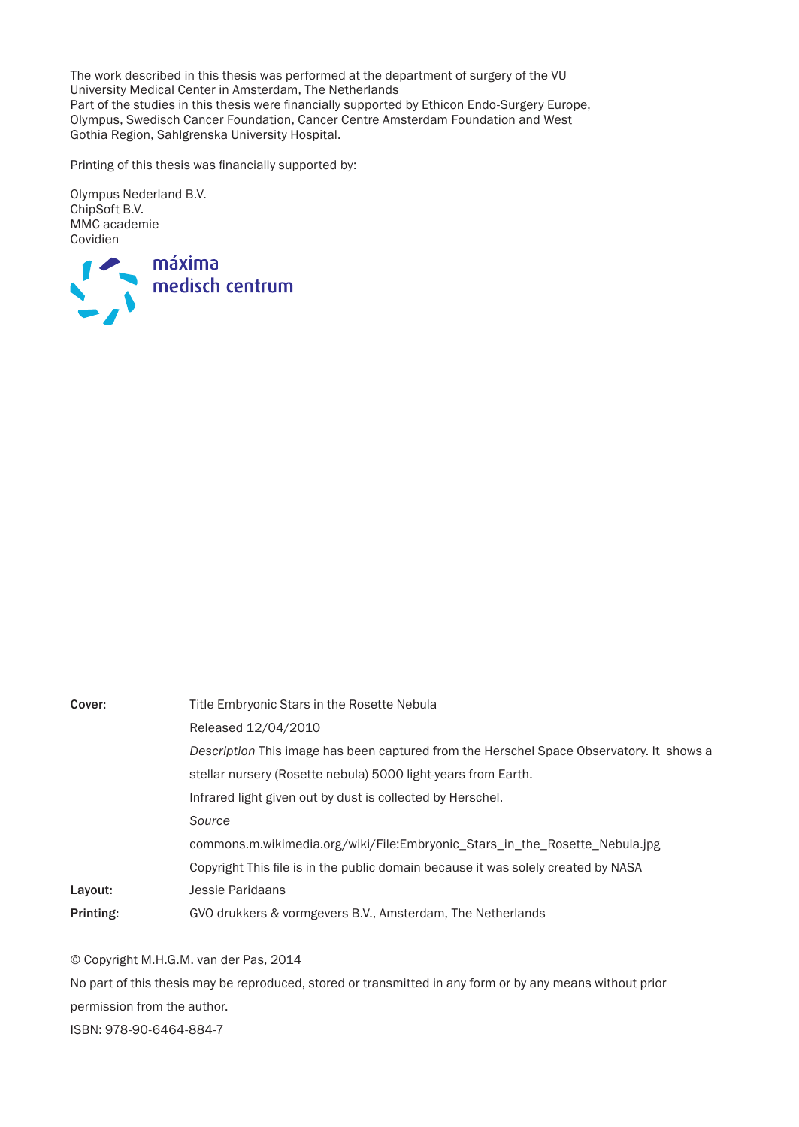The work described in this thesis was performed at the department of surgery of the VU University Medical Center in Amsterdam, The Netherlands Part of the studies in this thesis were financially supported by Ethicon Endo-Surgery Europe, Olympus, Swedisch Cancer Foundation, Cancer Centre Amsterdam Foundation and West Gothia Region, Sahlgrenska University Hospital.

Printing of this thesis was financially supported by:

Olympus Nederland B.V. ChipSoft B.V. MMC academie Covidien



| Cover:    | Title Embryonic Stars in the Rosette Nebula                                              |
|-----------|------------------------------------------------------------------------------------------|
|           | Released 12/04/2010                                                                      |
|           | Description This image has been captured from the Herschel Space Observatory. It shows a |
|           | stellar nursery (Rosette nebula) 5000 light-years from Earth.                            |
|           | Infrared light given out by dust is collected by Herschel.                               |
|           | Source                                                                                   |
|           | commons.m.wikimedia.org/wiki/File:Embryonic Stars in the Rosette Nebula.jpg              |
|           | Copyright This file is in the public domain because it was solely created by NASA        |
| Layout:   | Jessie Paridaans                                                                         |
| Printing: | GVO drukkers & vormgevers B.V., Amsterdam, The Netherlands                               |

© Copyright M.H.G.M. van der Pas, 2014

No part of this thesis may be reproduced, stored or transmitted in any form or by any means without prior permission from the author. ISBN: 978-90-6464-884-7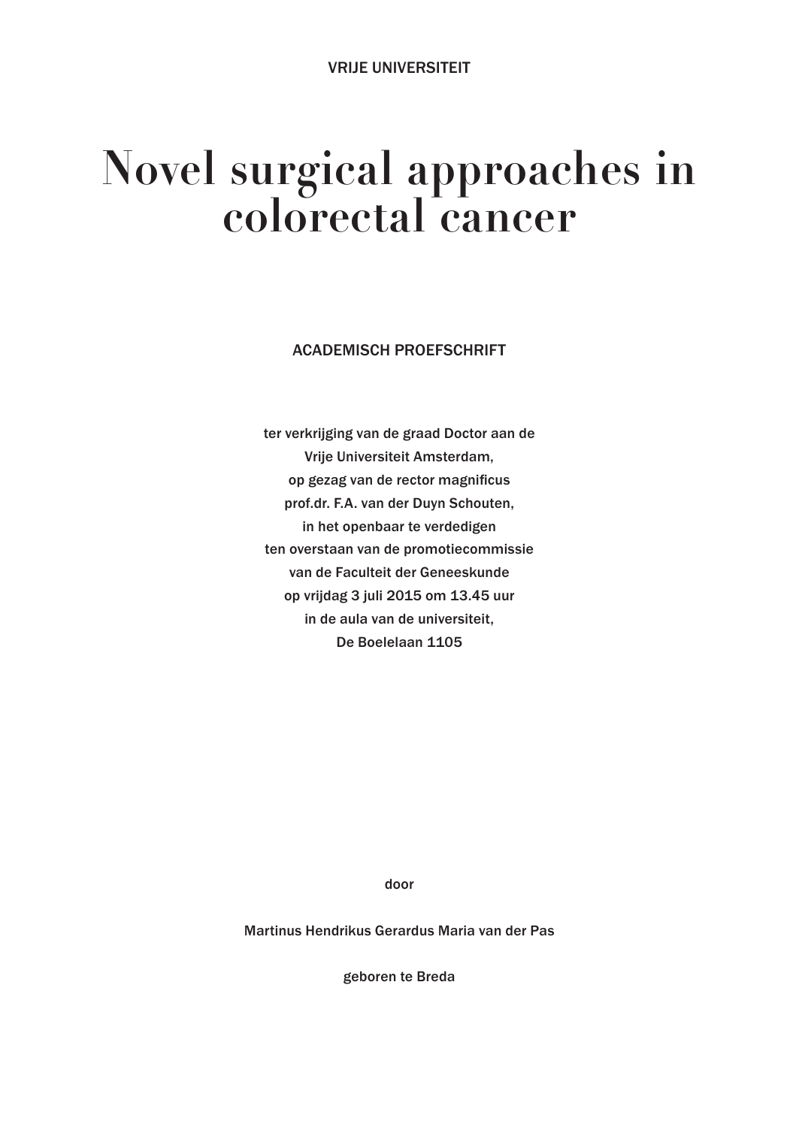## **Novel surgical approaches in colorectal cancer**

ACADEMISCH PROEFSCHRIFT

ter verkrijging van de graad Doctor aan de Vrije Universiteit Amsterdam, op gezag van de rector magnificus prof.dr. F.A. van der Duyn Schouten, in het openbaar te verdedigen ten overstaan van de promotiecommissie van de Faculteit der Geneeskunde op vrijdag 3 juli 2015 om 13.45 uur in de aula van de universiteit, De Boelelaan 1105

door

Martinus Hendrikus Gerardus Maria van der Pas

geboren te Breda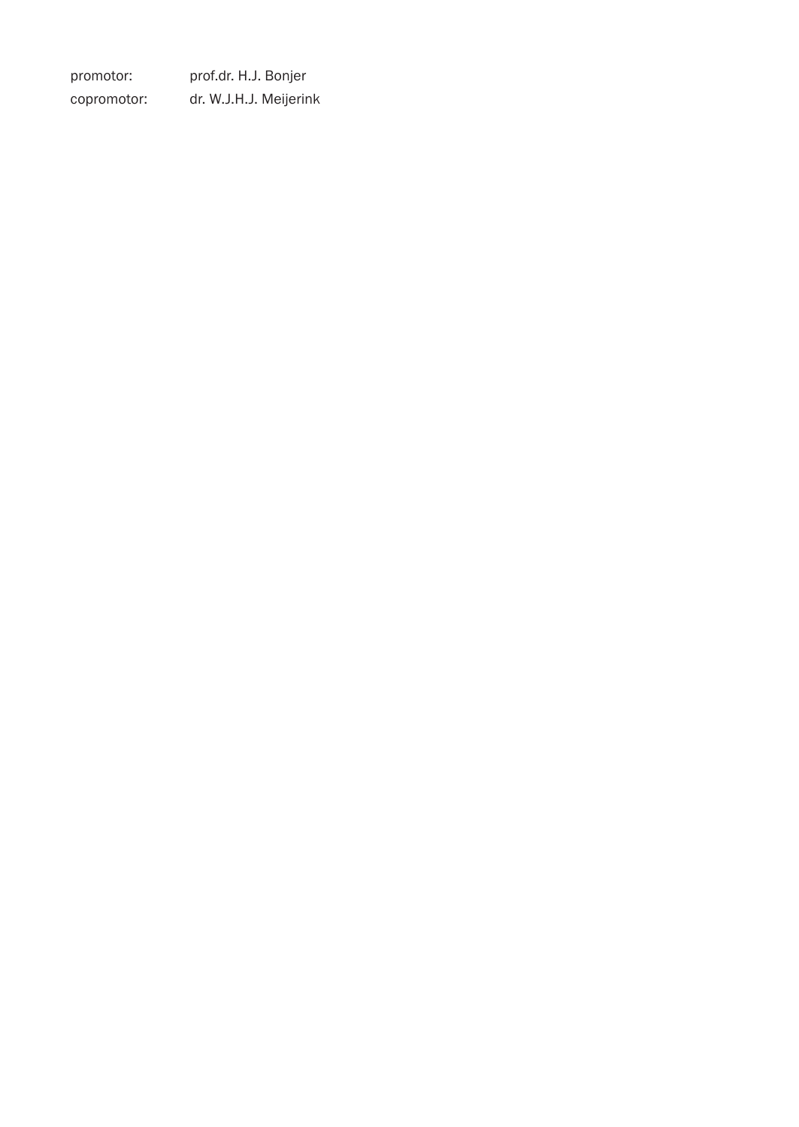promotor: prof.dr. H.J. Bonjer copromotor: dr. W.J.H.J. Meijerink